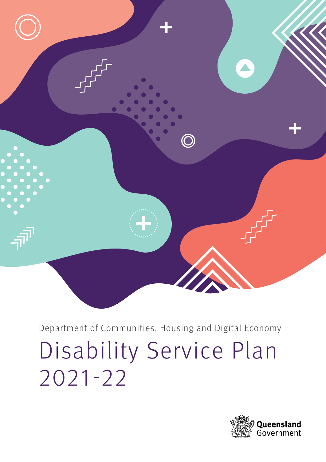

Department of Communities, Housing and Digital Economy Disability Service Plan 2021-22

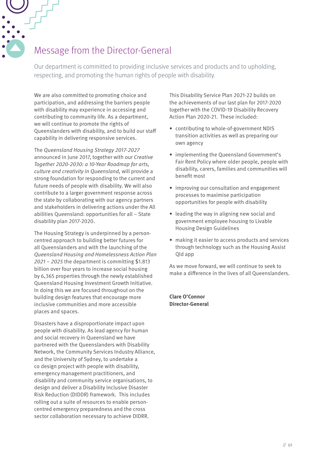# Message from the Director-General

Our department is committed to providing inclusive services and products and to upholding, respecting, and promoting the human rights of people with disability.

We are also committed to promoting choice and participation, and addressing the barriers people with disability may experience in accessing and contributing to community life. As a department, we will continue to promote the rights of Queenslanders with disability, and to build our staff capability in delivering responsive services.

The Queensland Housing Strategy 2017-2027 announced in June 2017, together with our Creative Together 2020-2030: a 10-Year Roadmap for arts, culture and creativity in Queensland, will provide a strong foundation for responding to the current and future needs of people with disability. We will also contribute to a larger government response across the state by collaborating with our agency partners and stakeholders in delivering actions under the All abilities Queensland: opportunities for all – State disability plan 2017-2020.

The Housing Strategy is underpinned by a personcentred approach to building better futures for all Queenslanders and with the launching of the Queensland Housing and Homelessness Action Plan 2021 – 2025 the department is committing \$1.813 billion over four years to increase social housing by 6,365 properties through the newly established Queensland Housing Investment Growth Initiative. In doing this we are focused throughout on the building design features that encourage more inclusive communities and more accessible places and spaces.

Disasters have a disproportionate impact upon people with disability. As lead agency for human and social recovery in Queensland we have partnered with the Queenslanders with Disability Network, the Community Services Industry Alliance, and the University of Sydney, to undertake a co design project with people with disability, emergency management practitioners, and disability and community service organisations, to design and deliver a Disability Inclusive Disaster Risk Reduction (DIDDR) framework. This includes rolling out a suite of resources to enable personcentred emergency preparedness and the cross sector collaboration necessary to achieve DIDRR.

This Disability Service Plan 2021-22 builds on the achievements of our last plan for 2017-2020 together with the COVID-19 Disability Recovery Action Plan 2020-21. These included:

- contributing to whole-of-government NDIS transition activities as well as preparing our own agency
- implementing the Queensland Government's Fair Rent Policy where older people, people with disability, carers, families and communities will benefit most
- improving our consultation and engagement processes to maximise participation opportunities for people with disability
- leading the way in aligning new social and government employee housing to Livable Housing Design Guidelines
- making it easier to access products and services through technology such as the Housing Assist Qld app

As we move forward, we will continue to seek to make a difference in the lives of all Queenslanders.

**Clare O'Connor Director-General**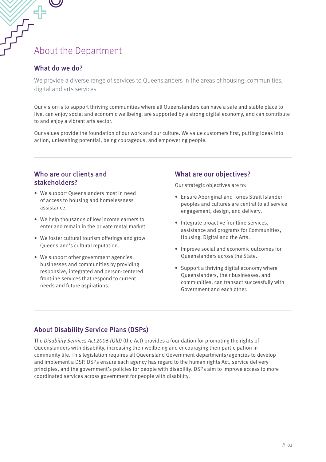# About the Department

#### What do we do?

We provide a diverse range of services to Queenslanders in the areas of housing, communities, digital and arts services.

Our vision is to support thriving communities where all Queenslanders can have a safe and stable place to live, can enjoy social and economic wellbeing, are supported by a strong digital economy, and can contribute to and enjoy a vibrant arts sector.

Our values provide the foundation of our work and our culture. We value customers first, putting ideas into action, unleashing potential, being courageous, and empowering people.

#### Who are our clients and stakeholders?

- We support Queenslanders most in need of access to housing and homelessness assistance.
- We help thousands of low income earners to enter and remain in the private rental market.
- We foster cultural tourism offerings and grow Queensland's cultural reputation.
- We support other government agencies, businesses and communities by providing responsive, integrated and person-centered frontline services that respond to current needs and future aspirations.

#### What are our objectives?

Our strategic objectives are to:

- Ensure Aboriginal and Torres Strait Islander peoples and cultures are central to all service engagement, design, and delivery.
- Integrate proactive frontline services, assistance and programs for Communities, Housing, Digital and the Arts.
- Improve social and economic outcomes for Queenslanders across the State.
- Support a thriving digital economy where Queenslanders, their businesses, and communities, can transact successfully with Government and each other.

#### About Disability Service Plans (DSPs)

The Disability Services Act 2006 (Qld) (the Act) provides a foundation for promoting the rights of Queenslanders with disability, increasing their wellbeing and encouraging their participation in community life. This legislation requires all Queensland Government departments/agencies to develop and implement a DSP. DSPs ensure each agency has regard to the human rights Act, service delivery principles, and the government's policies for people with disability. DSPs aim to improve access to more coordinated services across government for people with disability.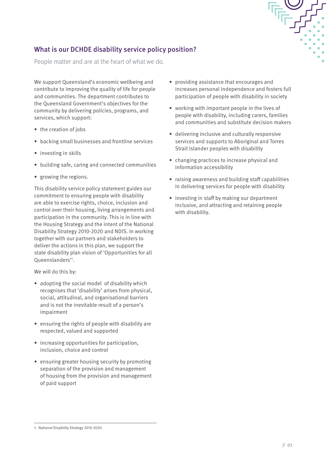## What is our DCHDE disability service policy position?

People matter and are at the heart of what we do.

We support Queensland's economic wellbeing and contribute to improving the quality of life for people and communities. The department contributes to the Queensland Government's objectives for the community by delivering policies, programs, and services, which support:

- the creation of jobs
- backing small businesses and frontline services
- investing in skills
- building safe, caring and connected communities
- growing the regions.

This disability service policy statement guides our commitment to ensuring people with disability are able to exercise rights, choice, inclusion and control over their housing, living arrangements and participation in the community. This is in line with the Housing Strategy and the intent of the National Disability Strategy 2010-2020 and NDIS. In working together with our partners and stakeholders to deliver the actions in this plan, we support the state disability plan vision of 'Opportunities for all Queenslanders'1 .

We will do this by:

- adopting the social model of disability which recognises that 'disability' arises from physical, social, attitudinal, and organisational barriers and is not the inevitable result of a person's impairment
- ensuring the rights of people with disability are respected, valued and supported
- increasing opportunities for participation, inclusion, choice and control
- ensuring greater housing security by promoting separation of the provision and management of housing from the provision and management of paid support
- providing assistance that encourages and increases personal independence and fosters full participation of people with disability in society
- working with important people in the lives of people with disability, including carers, families and communities and substitute decision makers
- delivering inclusive and culturally responsive services and supports to Aboriginal and Torres Strait Islander peoples with disability
- changing practices to increase physical and information accessibility
- raising awareness and building staff capabilities in delivering services for people with disability
- investing in staff by making our department inclusive, and attracting and retaining people with disability.

<sup>1.</sup> National Disability Strategy 2010-2020.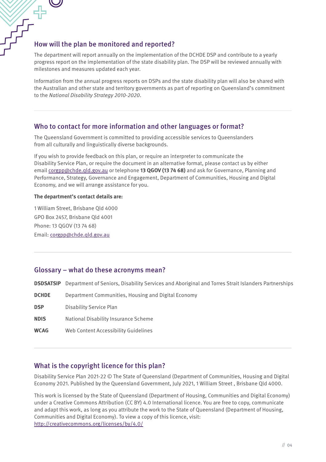# FIFT<br>THOW will the plan be monitored and reported?

 $\boldsymbol{\bigcup}$ 

The department will report annually on the implementation of the DCHDE DSP and contribute to a yearly progress report on the implementation of the state disability plan. The DSP will be reviewed annually with milestones and measures updated each year.

Information from the annual progress reports on DSPs and the state disability plan will also be shared with the Australian and other state and territory governments as part of reporting on Queensland's commitment to the National Disability Strategy 2010-2020.

#### Who to contact for more information and other languages or format?

The Queensland Government is committed to providing accessible services to Queenslanders from all culturally and linguistically diverse backgrounds.

If you wish to provide feedback on this plan, or require an interpreter to communicate the Disability Service Plan, or require the document in an alternative format, please contact us by either email [corgpp@chde.qld.gov.au](mailto:corgpp%40chde.qld.gov.au?subject=) or telephone **13 QGOV (13 74 68)** and ask for Governance, Planning and Performance, Strategy, Governance and Engagement, Department of Communities, Housing and Digital Economy, and we will arrange assistance for you.

#### **The department's contact details are:**

1 William Street, Brisbane Qld 4000 GPO Box 2457, Brisbane Qld 4001 Phone: 13 QGOV (13 74 68) Email: [corgpp@chde.qld.gov.au](mailto:corgpp%40chde.qld.gov.au?subject=)

#### Glossary – what do these acronyms mean?

| DSDSATSIP    | Department of Seniors, Disability Services and Aboriginal and Torres Strait Islanders Partnerships |
|--------------|----------------------------------------------------------------------------------------------------|
| <b>DCHDE</b> | Department Communities, Housing and Digital Economy                                                |
| <b>DSP</b>   | Disability Service Plan                                                                            |
| <b>NDIS</b>  | National Disability Insurance Scheme                                                               |
| WCAG         | Web Content Accessibility Guidelines                                                               |

#### What is the copyright licence for this plan?

Disability Service Plan 2021-22 © The State of Queensland (Department of Communities, Housing and Digital Economy 2021. Published by the Queensland Government, July 2021, 1 William Street , Brisbane Qld 4000.

This work is licensed by the State of Queensland (Department of Housing, Communities and Digital Economy) under a Creative Commons Attribution (CC BY) 4.0 International licence. You are free to copy, communicate and adapt this work, as long as you attribute the work to the State of Queensland (Department of Housing, Communities and Digital Economy). To view a copy of this licence, visit: <http://creativecommons.org/licenses/by/4.0/>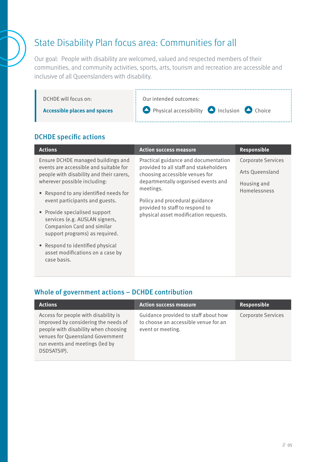# State Disability Plan focus area: Communities for all

Our goal: People with disability are welcomed, valued and respected members of their communities, and community activities, sports, arts, tourism and recreation are accessible and inclusive of all Queenslanders with disability.



## DCHDE specific actions

| <b>Actions</b>                                                                                                                                                                                                                                                                                                                                                         | <b>Action success measure</b>                                                                                                                                                                                                                                                      | Responsible                                                                 |
|------------------------------------------------------------------------------------------------------------------------------------------------------------------------------------------------------------------------------------------------------------------------------------------------------------------------------------------------------------------------|------------------------------------------------------------------------------------------------------------------------------------------------------------------------------------------------------------------------------------------------------------------------------------|-----------------------------------------------------------------------------|
| Ensure DCHDE managed buildings and<br>events are accessible and suitable for<br>people with disability and their carers,<br>wherever possible including:<br>• Respond to any identified needs for<br>event participants and guests.<br>• Provide specialised support<br>services (e.g. AUSLAN signers,<br>Companion Card and similar<br>support programs) as required. | Practical guidance and documentation<br>provided to all staff and stakeholders<br>choosing accessible venues for<br>departmentally organised events and<br>meetings.<br>Policy and procedural guidance<br>provided to staff to respond to<br>physical asset modification requests. | Corporate Services<br>Arts Queensland<br>Housing and<br><b>Homelessness</b> |
| • Respond to identified physical<br>asset modifications on a case by<br>case basis.                                                                                                                                                                                                                                                                                    |                                                                                                                                                                                                                                                                                    |                                                                             |

| <b>Actions</b>                                                                                                                                                                                             | <b>Action success measure</b>                                                                     | Responsible               |
|------------------------------------------------------------------------------------------------------------------------------------------------------------------------------------------------------------|---------------------------------------------------------------------------------------------------|---------------------------|
| Access for people with disability is<br>improved by considering the needs of<br>people with disability when choosing<br>venues for Queensland Government<br>run events and meetings (led by<br>DSDSATSIP). | Guidance provided to staff about how<br>to choose an accessible venue for an<br>event or meeting. | <b>Corporate Services</b> |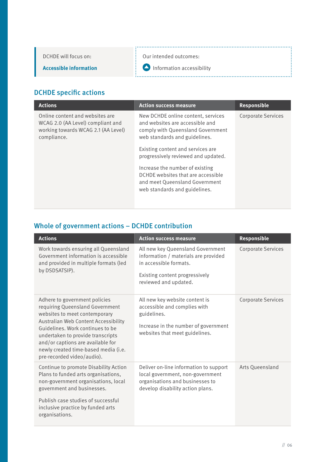DCHDE will focus on:

Our intended outcomes:

**Accessible information**

**Information accessibility** 

## DCHDE specific actions

| <b>Actions</b>                                                                                                             | <b>Action success measure</b>                                                                                                               | <b>Responsible</b>        |
|----------------------------------------------------------------------------------------------------------------------------|---------------------------------------------------------------------------------------------------------------------------------------------|---------------------------|
| Online content and websites are<br>WCAG 2.0 (AA Level) compliant and<br>working towards WCAG 2.1 (AA Level)<br>compliance. | New DCHDE online content, services<br>and websites are accessible and<br>comply with Queensland Government<br>web standards and guidelines. | <b>Corporate Services</b> |
|                                                                                                                            | Existing content and services are<br>progressively reviewed and updated.                                                                    |                           |
|                                                                                                                            | Increase the number of existing<br>DCHDE websites that are accessible<br>and meet Queensland Government<br>web standards and guidelines.    |                           |

| <b>Actions</b>                                                                                                                                                                                                                                                                                                                | <b>Action success measure</b>                                                                                                                                  | <b>Responsible</b>        |
|-------------------------------------------------------------------------------------------------------------------------------------------------------------------------------------------------------------------------------------------------------------------------------------------------------------------------------|----------------------------------------------------------------------------------------------------------------------------------------------------------------|---------------------------|
| Work towards ensuring all Queensland<br>Government information is accessible<br>and provided in multiple formats (led<br>by DSDSATSIP).                                                                                                                                                                                       | All new key Queensland Government<br>information / materials are provided<br>in accessible formats.<br>Existing content progressively<br>reviewed and updated. | <b>Corporate Services</b> |
| Adhere to government policies<br>requiring Queensland Government<br>websites to meet contemporary<br>Australian Web Content Accessibility<br>Guidelines. Work continues to be<br>undertaken to provide transcripts<br>and/or captions are available for<br>newly created time-based media (i.e.<br>pre-recorded video/audio). | All new key website content is<br>accessible and complies with<br>guidelines.<br>Increase in the number of government<br>websites that meet guidelines.        | <b>Corporate Services</b> |
| Continue to promote Disability Action<br>Plans to funded arts organisations,<br>non-government organisations, local<br>government and businesses.<br>Publish case studies of successful<br>inclusive practice by funded arts<br>organisations.                                                                                | Deliver on-line information to support<br>local government, non-government<br>organisations and businesses to<br>develop disability action plans.              | Arts Oueensland           |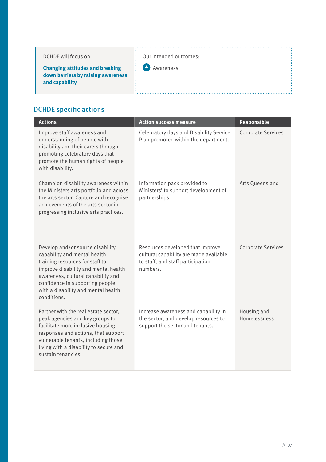| DCHDE will focus on: |  |
|----------------------|--|
|----------------------|--|

**Changing attitudes and breaking down barriers by raising awareness and capability**

# DCHDE specific actions

| <b>Actions</b>                                                                                                                                                                                                                                                              | <b>Action success measure</b>                                                                                               | Responsible                 |
|-----------------------------------------------------------------------------------------------------------------------------------------------------------------------------------------------------------------------------------------------------------------------------|-----------------------------------------------------------------------------------------------------------------------------|-----------------------------|
| Improve staff awareness and<br>understanding of people with<br>disability and their carers through<br>promoting celebratory days that<br>promote the human rights of people<br>with disability.                                                                             | Celebratory days and Disability Service<br>Plan promoted within the department.                                             | <b>Corporate Services</b>   |
| Champion disability awareness within<br>the Ministers arts portfolio and across<br>the arts sector. Capture and recognise<br>achievements of the arts sector in<br>progressing inclusive arts practices.                                                                    | Information pack provided to<br>Ministers' to support development of<br>partnerships.                                       | Arts Queensland             |
| Develop and/or source disability,<br>capability and mental health<br>training resources for staff to<br>improve disability and mental health<br>awareness, cultural capability and<br>confidence in supporting people<br>with a disability and mental health<br>conditions. | Resources developed that improve<br>cultural capability are made available<br>to staff, and staff participation<br>numbers. | <b>Corporate Services</b>   |
| Partner with the real estate sector,<br>peak agencies and key groups to<br>facilitate more inclusive housing<br>responses and actions, that support<br>vulnerable tenants, including those<br>living with a disability to secure and<br>sustain tenancies.                  | Increase awareness and capability in<br>the sector, and develop resources to<br>support the sector and tenants.             | Housing and<br>Homelessness |

Our intended outcomes:

Awareness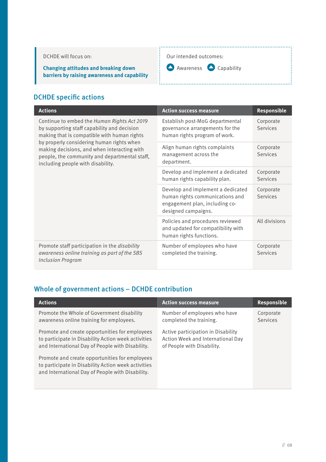#### DCHDE will focus on:

**Changing attitudes and breaking down barriers by raising awareness and capability**

#### Our intended outcomes:



## DCHDE specific actions

| <b>Actions</b>                                                                                                                                                                                                                                                                                                              | <b>Action success measure</b>                                                                                                 | Responsible                  |
|-----------------------------------------------------------------------------------------------------------------------------------------------------------------------------------------------------------------------------------------------------------------------------------------------------------------------------|-------------------------------------------------------------------------------------------------------------------------------|------------------------------|
| Continue to embed the Human Rights Act 2019<br>by supporting staff capability and decision<br>making that is compatible with human rights<br>by properly considering human rights when<br>making decisions, and when interacting with<br>people, the community and departmental staff,<br>including people with disability. | Establish post-MoG departmental<br>governance arrangements for the<br>human rights program of work.                           | Corporate<br>Services        |
|                                                                                                                                                                                                                                                                                                                             | Align human rights complaints<br>management across the<br>department.                                                         | Corporate<br><b>Services</b> |
|                                                                                                                                                                                                                                                                                                                             | Develop and implement a dedicated<br>human rights capability plan.                                                            | Corporate<br>Services        |
|                                                                                                                                                                                                                                                                                                                             | Develop and implement a dedicated<br>human rights communications and<br>engagement plan, including co-<br>designed campaigns. | Corporate<br>Services        |
|                                                                                                                                                                                                                                                                                                                             | Policies and procedures reviewed<br>and updated for compatibility with<br>human rights functions.                             | All divisions                |
| Promote staff participation in the disability<br>awareness online training as part of the SBS<br><b>Inclusion Program</b>                                                                                                                                                                                                   | Number of employees who have<br>completed the training.                                                                       | Corporate<br>Services        |

| <b>Actions</b>                                                                                                                                            | <b>Action success measure</b>                                                                         | <b>Responsible</b>           |
|-----------------------------------------------------------------------------------------------------------------------------------------------------------|-------------------------------------------------------------------------------------------------------|------------------------------|
| Promote the Whole of Government disability<br>awareness online training for employees.                                                                    | Number of employees who have<br>completed the training.                                               | Corporate<br><b>Services</b> |
| Promote and create opportunities for employees<br>to participate in Disability Action week activities<br>and International Day of People with Disability. | Active participation in Disability<br>Action Week and International Day<br>of People with Disability. |                              |
| Promote and create opportunities for employees<br>to participate in Disability Action week activities<br>and International Day of People with Disability. |                                                                                                       |                              |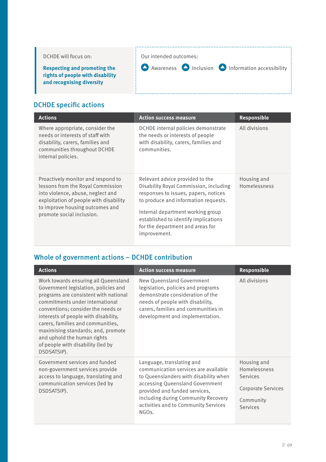| DCHDE will focus on:                                                                                 | Our intended outcomes:                                                                      |
|------------------------------------------------------------------------------------------------------|---------------------------------------------------------------------------------------------|
| <b>Respecting and promoting the</b><br>rights of people with disability<br>and recognising diversity | $\frac{1}{2}$ Awareness <b>O</b> Inclusion <b>O</b> Information accessibility $\frac{1}{2}$ |

# DCHDE specific actions

| <b>Actions</b>                                                                                                                                                                                                         | <b>Action success measure</b>                                                                                                                                                                                                                                                              | <b>Responsible</b>          |
|------------------------------------------------------------------------------------------------------------------------------------------------------------------------------------------------------------------------|--------------------------------------------------------------------------------------------------------------------------------------------------------------------------------------------------------------------------------------------------------------------------------------------|-----------------------------|
| Where appropriate, consider the<br>needs or interests of staff with<br>disability, carers, families and<br>communities throughout DCHDE<br>internal policies.                                                          | DCHDE internal policies demonstrate<br>the needs or interests of people<br>with disability, carers, families and<br>communities.                                                                                                                                                           | All divisions               |
| Proactively monitor and respond to<br>lessons from the Royal Commission<br>into violence, abuse, neglect and<br>exploitation of people with disability<br>to improve housing outcomes and<br>promote social inclusion. | Relevant advice provided to the<br>Disability Royal Commission, including<br>responses to issues, papers, notices<br>to produce and information requests.<br>Internal department working group<br>established to identify implications<br>for the department and areas for<br>improvement. | Housing and<br>Homelessness |

| <b>Actions</b>                                                                                                                                                                                                                                                                                                                                                                                       | <b>Action success measure</b>                                                                                                                                                                                                                                                       | Responsible                                                                                          |
|------------------------------------------------------------------------------------------------------------------------------------------------------------------------------------------------------------------------------------------------------------------------------------------------------------------------------------------------------------------------------------------------------|-------------------------------------------------------------------------------------------------------------------------------------------------------------------------------------------------------------------------------------------------------------------------------------|------------------------------------------------------------------------------------------------------|
| Work towards ensuring all Queensland<br>Government legislation, policies and<br>programs are consistent with national<br>commitments under international<br>conventions; consider the needs or<br>interests of people with disability,<br>carers, families and communities,<br>maximising standards; and, promote<br>and uphold the human rights<br>of people with disability (led by<br>DSDSATSIP). | New Queensland Government<br>legislation, policies and programs<br>demonstrate consideration of the<br>needs of people with disability,<br>carers, families and communities in<br>development and implementation.                                                                   | All divisions                                                                                        |
| Government services and funded<br>non-government services provide<br>access to language, translating and<br>communication services (led by<br>DSDSATSIP).                                                                                                                                                                                                                                            | Language, translating and<br>communication services are available<br>to Queenslanders with disability when<br>accessing Queensland Government<br>provided and funded services,<br>including during Community Recovery<br>activities and to Community Services<br>NGO <sub>s</sub> . | Housing and<br>Homelessness<br><b>Services</b><br><b>Corporate Services</b><br>Community<br>Services |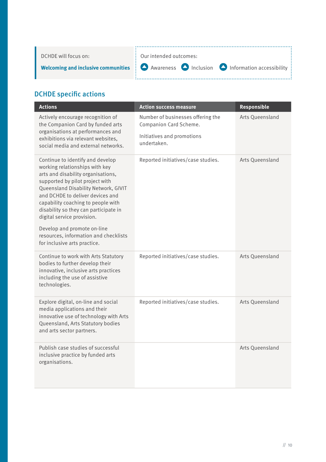| DCHDE will focus on: | $\vdots$ Our intended outcomes:                                                                                                                       |
|----------------------|-------------------------------------------------------------------------------------------------------------------------------------------------------|
|                      | <b>Welcoming and inclusive communities <math>\frac{1}{2}</math></b> Awareness $\bigcirc$ Inclusion $\bigcirc$ Information accessibility $\frac{1}{2}$ |

# DCHDE specific actions

| <b>Actions</b>                                                                                                                                                                                                                                                                                                                                                                                               | <b>Action success measure</b>                               | <b>Responsible</b> |
|--------------------------------------------------------------------------------------------------------------------------------------------------------------------------------------------------------------------------------------------------------------------------------------------------------------------------------------------------------------------------------------------------------------|-------------------------------------------------------------|--------------------|
| Actively encourage recognition of<br>the Companion Card by funded arts<br>organisations at performances and                                                                                                                                                                                                                                                                                                  | Number of businesses offering the<br>Companion Card Scheme. | Arts Queensland    |
| exhibitions via relevant websites,<br>social media and external networks.                                                                                                                                                                                                                                                                                                                                    | Initiatives and promotions<br>undertaken.                   |                    |
| Continue to identify and develop<br>working relationships with key<br>arts and disability organisations,<br>supported by pilot project with<br>Queensland Disability Network, GIVIT<br>and DCHDE to deliver devices and<br>capability coaching to people with<br>disability so they can participate in<br>digital service provision.<br>Develop and promote on-line<br>resources, information and checklists | Reported initiatives/case studies.                          | Arts Queensland    |
| for inclusive arts practice.                                                                                                                                                                                                                                                                                                                                                                                 |                                                             |                    |
| Continue to work with Arts Statutory<br>bodies to further develop their<br>innovative, inclusive arts practices<br>including the use of assistive<br>technologies.                                                                                                                                                                                                                                           | Reported initiatives/case studies.                          | Arts Queensland    |
| Explore digital, on-line and social<br>media applications and their<br>innovative use of technology with Arts<br>Queensland, Arts Statutory bodies<br>and arts sector partners.                                                                                                                                                                                                                              | Reported initiatives/case studies.                          | Arts Queensland    |
| Publish case studies of successful<br>inclusive practice by funded arts<br>organisations.                                                                                                                                                                                                                                                                                                                    |                                                             | Arts Queensland    |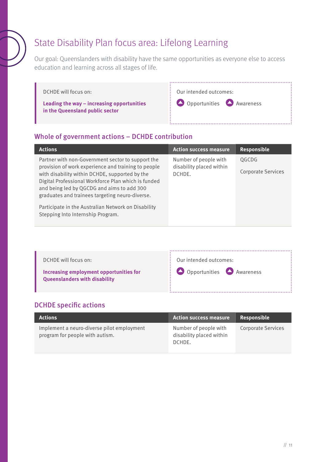# State Disability Plan focus area: Lifelong Learning

Our goal: Queenslanders with disability have the same opportunities as everyone else to access education and learning across all stages of life.

| DCHDE will focus on:                                                          | Our intended outcomes:                            |
|-------------------------------------------------------------------------------|---------------------------------------------------|
| Leading the way - increasing opportunities<br>in the Queensland public sector | $\mathbf{Q}$ Opportunities $\mathbf{Q}$ Awareness |

## Whole of government actions – DCHDE contribution

| <b>Actions</b>                                                                                                                                                                                                                                                                                                                                                                                                 | <b>Action success measure</b>                               | Responsible                        |
|----------------------------------------------------------------------------------------------------------------------------------------------------------------------------------------------------------------------------------------------------------------------------------------------------------------------------------------------------------------------------------------------------------------|-------------------------------------------------------------|------------------------------------|
| Partner with non-Government sector to support the<br>provision of work experience and training to people<br>with disability within DCHDE, supported by the<br>Digital Professional Workforce Plan which is funded<br>and being led by QGCDG and aims to add 300<br>graduates and trainees targeting neuro-diverse.<br>Participate in the Australian Network on Disability<br>Stepping Into Internship Program. | Number of people with<br>disability placed within<br>DCHDE. | OGCDG<br><b>Corporate Services</b> |

| DCHDE will focus on:<br>Increasing employment opportunities for<br><b>Queenslanders with disability</b> | Our intended outcomes:<br>$\therefore$ Opportunities $\bigcirc$ Awareness |
|---------------------------------------------------------------------------------------------------------|---------------------------------------------------------------------------|
|---------------------------------------------------------------------------------------------------------|---------------------------------------------------------------------------|

## DCHDE specific actions

| <b>Actions</b>                                                                | <b>Action success measure</b>                               | Responsible               |
|-------------------------------------------------------------------------------|-------------------------------------------------------------|---------------------------|
| Implement a neuro-diverse pilot employment<br>program for people with autism. | Number of people with<br>disability placed within<br>DCHDE. | <b>Corporate Services</b> |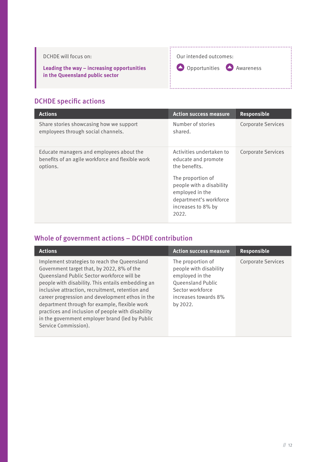

## DCHDE specific actions

| <b>Actions</b>                                                                                           | <b>Action success measure</b>                                                                                                                                                                 | Responsible               |
|----------------------------------------------------------------------------------------------------------|-----------------------------------------------------------------------------------------------------------------------------------------------------------------------------------------------|---------------------------|
| Share stories showcasing how we support<br>employees through social channels.                            | Number of stories<br>shared.                                                                                                                                                                  | <b>Corporate Services</b> |
| Educate managers and employees about the<br>benefits of an agile workforce and flexible work<br>options. | Activities undertaken to<br>educate and promote<br>the benefits.<br>The proportion of<br>people with a disability<br>employed in the<br>department's workforce<br>increases to 8% by<br>2022. | <b>Corporate Services</b> |

| <b>Actions</b>                                                                                                                                                                                                                                                                                                                                                                                                                                                                        | <b>Action success measure</b>                                                                                                               | Responsible               |
|---------------------------------------------------------------------------------------------------------------------------------------------------------------------------------------------------------------------------------------------------------------------------------------------------------------------------------------------------------------------------------------------------------------------------------------------------------------------------------------|---------------------------------------------------------------------------------------------------------------------------------------------|---------------------------|
| Implement strategies to reach the Queensland<br>Government target that, by 2022, 8% of the<br>Queensland Public Sector workforce will be<br>people with disability. This entails embedding an<br>inclusive attraction, recruitment, retention and<br>career progression and development ethos in the<br>department through for example, flexible work<br>practices and inclusion of people with disability<br>in the government employer brand (led by Public<br>Service Commission). | The proportion of<br>people with disability<br>employed in the<br>Queensland Public<br>Sector workforce<br>increases towards 8%<br>by 2022. | <b>Corporate Services</b> |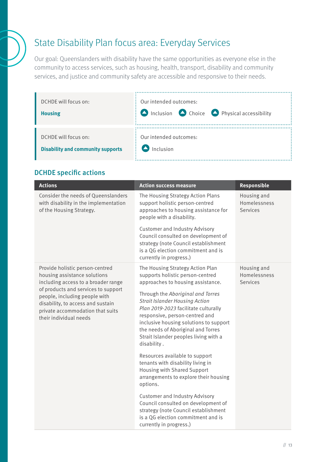# State Disability Plan focus area: Everyday Services

Our goal: Queenslanders with disability have the same opportunities as everyone else in the community to access services, such as housing, health, transport, disability and community services, and justice and community safety are accessible and responsive to their needs.

| DCHDE will focus on:                     | Our intended outcomes:                                       |
|------------------------------------------|--------------------------------------------------------------|
| <b>Housing</b>                           | $\sum$ Inclusion $\sum$ Choice $\sum$ Physical accessibility |
| DCHDE will focus on:                     | Our intended outcomes:                                       |
| <b>Disability and community supports</b> | Inclusion                                                    |

## DCHDE specific actions

| <b>Actions</b>                                                                                                                                                          | <b>Action success measure</b>                                                                                                                                                                                                                                                                | <b>Responsible</b>                             |
|-------------------------------------------------------------------------------------------------------------------------------------------------------------------------|----------------------------------------------------------------------------------------------------------------------------------------------------------------------------------------------------------------------------------------------------------------------------------------------|------------------------------------------------|
| Consider the needs of Queenslanders<br>with disability in the implementation<br>of the Housing Strategy.                                                                | The Housing Strategy Action Plans<br>support holistic person-centred<br>approaches to housing assistance for<br>people with a disability.                                                                                                                                                    | Housing and<br>Homelessness<br><b>Services</b> |
|                                                                                                                                                                         | <b>Customer and Industry Advisory</b><br>Council consulted on development of<br>strategy (note Council establishment<br>is a QG election commitment and is<br>currently in progress.)                                                                                                        |                                                |
| Provide holistic person-centred<br>housing assistance solutions<br>including access to a broader range                                                                  | The Housing Strategy Action Plan<br>supports holistic person-centred<br>approaches to housing assistance.                                                                                                                                                                                    | Housing and<br>Homelessness<br><b>Services</b> |
| of products and services to support<br>people, including people with<br>disability, to access and sustain<br>private accommodation that suits<br>their individual needs | Through the Aboriginal and Torres<br><b>Strait Islander Housing Action</b><br>Plan 2019-2023 facilitate culturally<br>responsive, person-centred and<br>inclusive housing solutions to support<br>the needs of Aboriginal and Torres<br>Strait Islander peoples living with a<br>disability. |                                                |
|                                                                                                                                                                         | Resources available to support<br>tenants with disability living in<br>Housing with Shared Support<br>arrangements to explore their housing<br>options.                                                                                                                                      |                                                |
|                                                                                                                                                                         | <b>Customer and Industry Advisory</b><br>Council consulted on development of<br>strategy (note Council establishment<br>is a QG election commitment and is<br>currently in progress.)                                                                                                        |                                                |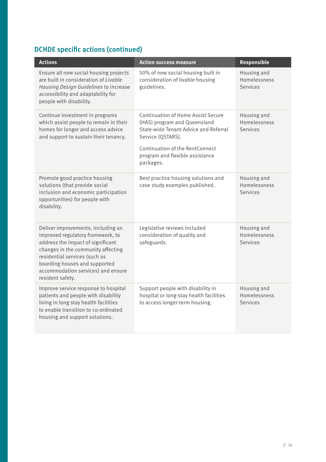# DCHDE specific actions (continued)

| <b>Actions</b>                                                                                                                                                                                                                                                                 | <b>Action success measure</b>                                                                                                                                                                                              | <b>Responsible</b>                                    |
|--------------------------------------------------------------------------------------------------------------------------------------------------------------------------------------------------------------------------------------------------------------------------------|----------------------------------------------------------------------------------------------------------------------------------------------------------------------------------------------------------------------------|-------------------------------------------------------|
| Ensure all new social housing projects<br>are built in consideration of Livable<br>Housing Design Guidelines to increase<br>accessibility and adaptability for<br>people with disability.                                                                                      | 50% of new social housing built in<br>consideration of livable housing<br>guidelines.                                                                                                                                      | Housing and<br>Homelessness<br>Services               |
| Continue investment in programs<br>which assist people to remain in their<br>homes for longer and access advice<br>and support to sustain their tenancy.                                                                                                                       | <b>Continuation of Home Assist Secure</b><br>(HAS) program and Queensland<br>State-wide Tenant Advice and Referral<br>Service (QSTARS).<br>Continuation of the RentConnect<br>program and flexible assistance<br>packages. | Housing and<br>Homelessness<br><b>Services</b>        |
| Promote good practice housing<br>solutions (that provide social<br>inclusion and economic participation<br>opportunities) for people with<br>disability.                                                                                                                       | Best practice housing solutions and<br>case study examples published.                                                                                                                                                      | Housing and<br>Homelessness<br>Services               |
| Deliver improvements, including an<br>improved regulatory framework, to<br>address the impact of significant<br>changes in the community affecting<br>residential services (such as<br>boarding houses and supported<br>accommodation services) and ensure<br>resident safety. | Legislative reviews included<br>consideration of quality and<br>safeguards.                                                                                                                                                | Housing and<br>Homelessness<br><b>Services</b>        |
| Improve service response to hospital<br>patients and people with disability<br>living in long stay health facilities<br>to enable transition to co-ordinated<br>housing and support solutions.                                                                                 | Support people with disability in<br>hospital or long-stay health facilities<br>to access longer-term housing.                                                                                                             | Housing and<br><b>Homelessness</b><br><b>Services</b> |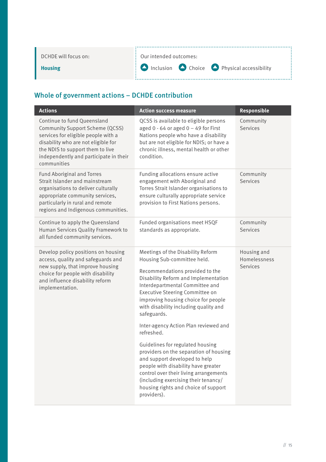| DCHDE will focus on: | : Our intended outcomes:                                                 |
|----------------------|--------------------------------------------------------------------------|
| <b>Housing</b>       | $\mathbf{B}$ Inclusion $\bullet$ Choice $\bullet$ Physical accessibility |
|                      |                                                                          |

| <b>Action success measure</b>                                                                                                                                                                                                                                                                                                                                                                                                                                                                                                                                                                                                                           | Responsible                             |
|---------------------------------------------------------------------------------------------------------------------------------------------------------------------------------------------------------------------------------------------------------------------------------------------------------------------------------------------------------------------------------------------------------------------------------------------------------------------------------------------------------------------------------------------------------------------------------------------------------------------------------------------------------|-----------------------------------------|
| QCSS is available to eligible persons<br>aged $0 - 64$ or aged $0 - 49$ for First<br>Nations people who have a disability<br>but are not eligible for NDIS; or have a<br>chronic illness, mental health or other<br>condition.                                                                                                                                                                                                                                                                                                                                                                                                                          | Community<br>Services                   |
| Funding allocations ensure active<br>engagement with Aboriginal and<br>Torres Strait Islander organisations to<br>ensure culturally appropriate service<br>provision to First Nations persons.                                                                                                                                                                                                                                                                                                                                                                                                                                                          | Community<br>Services                   |
| Funded organisations meet HSQF<br>standards as appropriate.                                                                                                                                                                                                                                                                                                                                                                                                                                                                                                                                                                                             | Community<br>Services                   |
| Meetings of the Disability Reform<br>Housing Sub-committee held.<br>Recommendations provided to the<br>Disability Reform and Implementation<br>Interdepartmental Committee and<br>Executive Steering Committee on<br>improving housing choice for people<br>with disability including quality and<br>safeguards.<br>Inter-agency Action Plan reviewed and<br>refreshed.<br>Guidelines for regulated housing<br>providers on the separation of housing<br>and support developed to help<br>people with disability have greater<br>control over their living arrangements<br>(including exercising their tenancy/<br>housing rights and choice of support | Housing and<br>Homelessness<br>Services |
|                                                                                                                                                                                                                                                                                                                                                                                                                                                                                                                                                                                                                                                         | providers).                             |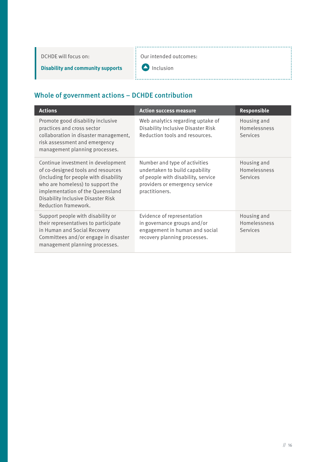DCHDE will focus on:

Our intended outcomes:

**Disability and community supports**

Į. **O** Inclusion

i

| <b>Actions</b>                                                                                                                                                                                                                                           | <b>Action success measure</b>                                                                                                                             | <b>Responsible</b>                             |
|----------------------------------------------------------------------------------------------------------------------------------------------------------------------------------------------------------------------------------------------------------|-----------------------------------------------------------------------------------------------------------------------------------------------------------|------------------------------------------------|
| Promote good disability inclusive<br>practices and cross sector<br>collaboration in disaster management,<br>risk assessment and emergency<br>management planning processes.                                                                              | Web analytics regarding uptake of<br>Disability Inclusive Disaster Risk<br>Reduction tools and resources.                                                 | Housing and<br>Homelessness<br>Services        |
| Continue investment in development<br>of co-designed tools and resources<br>(including for people with disability)<br>who are homeless) to support the<br>implementation of the Queensland<br>Disability Inclusive Disaster Risk<br>Reduction framework. | Number and type of activities<br>undertaken to build capability<br>of people with disability, service<br>providers or emergency service<br>practitioners. | Housing and<br>Homelessness<br><b>Services</b> |
| Support people with disability or<br>their representatives to participate<br>in Human and Social Recovery<br>Committees and/or engage in disaster<br>management planning processes.                                                                      | Evidence of representation<br>in governance groups and/or<br>engagement in human and social<br>recovery planning processes.                               | Housing and<br>Homelessness<br><b>Services</b> |